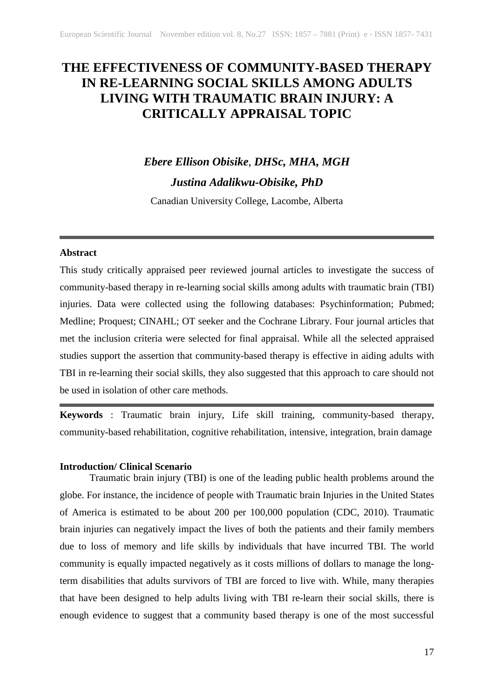# **THE EFFECTIVENESS OF COMMUNITY-BASED THERAPY IN RE-LEARNING SOCIAL SKILLS AMONG ADULTS LIVING WITH TRAUMATIC BRAIN INJURY: A CRITICALLY APPRAISAL TOPIC**

# *Ebere Ellison Obisike*, *DHSc, MHA, MGH Justina Adalikwu-Obisike, PhD*

Canadian University College, Lacombe, Alberta

#### **Abstract**

This study critically appraised peer reviewed journal articles to investigate the success of community-based therapy in re-learning social skills among adults with traumatic brain (TBI) injuries. Data were collected using the following databases: Psychinformation; Pubmed; Medline; Proquest; CINAHL; OT seeker and the Cochrane Library. Four journal articles that met the inclusion criteria were selected for final appraisal. While all the selected appraised studies support the assertion that community-based therapy is effective in aiding adults with TBI in re-learning their social skills, they also suggested that this approach to care should not be used in isolation of other care methods.

**Keywords** : Traumatic brain injury, Life skill training, community-based therapy, community-based rehabilitation, cognitive rehabilitation, intensive, integration, brain damage

#### **Introduction/ Clinical Scenario**

Traumatic brain injury (TBI) is one of the leading public health problems around the globe. For instance, the incidence of people with Traumatic brain Injuries in the United States of America is estimated to be about 200 per 100,000 population (CDC, 2010). Traumatic brain injuries can negatively impact the lives of both the patients and their family members due to loss of memory and life skills by individuals that have incurred TBI. The world community is equally impacted negatively as it costs millions of dollars to manage the longterm disabilities that adults survivors of TBI are forced to live with. While, many therapies that have been designed to help adults living with TBI re-learn their social skills, there is enough evidence to suggest that a community based therapy is one of the most successful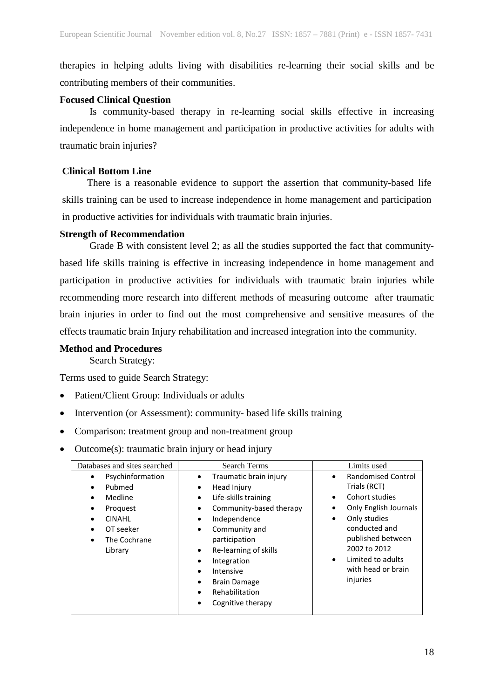therapies in helping adults living with disabilities re-learning their social skills and be contributing members of their communities.

#### **Focused Clinical Question**

Is community-based therapy in re-learning social skills effective in increasing independence in home management and participation in productive activities for adults with traumatic brain injuries?

#### **Clinical Bottom Line**

 There is a reasonable evidence to support the assertion that community-based life skills training can be used to increase independence in home management and participation in productive activities for individuals with traumatic brain injuries.

#### **Strength of Recommendation**

Grade B with consistent level 2; as all the studies supported the fact that communitybased life skills training is effective in increasing independence in home management and participation in productive activities for individuals with traumatic brain injuries while recommending more research into different methods of measuring outcome after traumatic brain injuries in order to find out the most comprehensive and sensitive measures of the effects traumatic brain Injury rehabilitation and increased integration into the community.

#### **Method and Procedures**

Search Strategy:

Terms used to guide Search Strategy:

- Patient/Client Group: Individuals or adults
- Intervention (or Assessment): community- based life skills training
- Comparison: treatment group and non-treatment group
- Outcome(s): traumatic brain injury or head injury

| Databases and sites searched                                                                                    | <b>Search Terms</b>                                                                                                                                                                                                                                                                                                                        | Limits used                                                                                                                                                                                                                                                        |  |  |
|-----------------------------------------------------------------------------------------------------------------|--------------------------------------------------------------------------------------------------------------------------------------------------------------------------------------------------------------------------------------------------------------------------------------------------------------------------------------------|--------------------------------------------------------------------------------------------------------------------------------------------------------------------------------------------------------------------------------------------------------------------|--|--|
| Psychinformation<br>Pubmed<br>Medline<br>Proquest<br>٠<br><b>CINAHL</b><br>OT seeker<br>The Cochrane<br>Library | Traumatic brain injury<br>٠<br>Head Injury<br>٠<br>Life-skills training<br>$\bullet$<br>Community-based therapy<br>٠<br>Independence<br>Community and<br>٠<br>participation<br>Re-learning of skills<br>$\bullet$<br>Integration<br>Intensive<br>$\bullet$<br><b>Brain Damage</b><br>٠<br>Rehabilitation<br>$\bullet$<br>Cognitive therapy | <b>Randomised Control</b><br>$\bullet$<br>Trials (RCT)<br>Cohort studies<br>$\bullet$<br>Only English Journals<br>٠<br>Only studies<br>٠<br>conducted and<br>published between<br>2002 to 2012<br>Limited to adults<br>$\bullet$<br>with head or brain<br>injuries |  |  |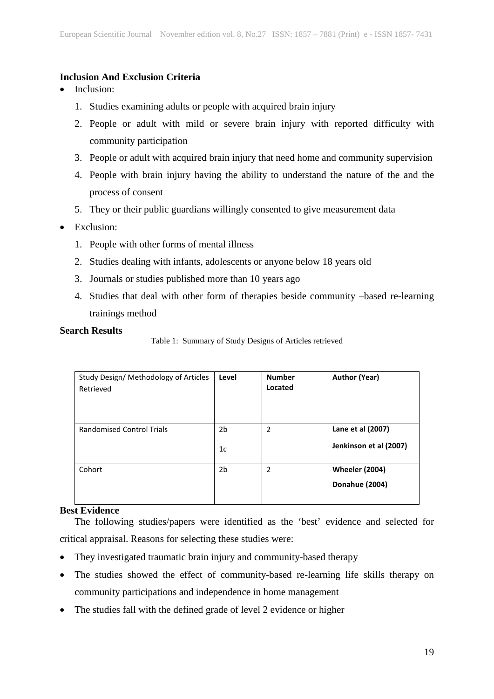#### **Inclusion And Exclusion Criteria**

- Inclusion:
	- 1. Studies examining adults or people with acquired brain injury
	- 2. People or adult with mild or severe brain injury with reported difficulty with community participation
	- 3. People or adult with acquired brain injury that need home and community supervision
	- 4. People with brain injury having the ability to understand the nature of the and the process of consent
	- 5. They or their public guardians willingly consented to give measurement data

## • Exclusion:

- 1. People with other forms of mental illness
- 2. Studies dealing with infants, adolescents or anyone below 18 years old
- 3. Journals or studies published more than 10 years ago
- 4. Studies that deal with other form of therapies beside community –based re-learning trainings method

#### **Search Results**

Table 1: Summary of Study Designs of Articles retrieved

| Study Design/ Methodology of Articles<br>Retrieved | Level                | <b>Number</b><br>Located | <b>Author (Year)</b>                        |
|----------------------------------------------------|----------------------|--------------------------|---------------------------------------------|
| <b>Randomised Control Trials</b>                   | 2b<br>1 <sub>c</sub> | $\overline{2}$           | Lane et al (2007)<br>Jenkinson et al (2007) |
| Cohort                                             | 2b                   | 2                        | <b>Wheeler (2004)</b><br>Donahue (2004)     |

#### **Best Evidence**

The following studies/papers were identified as the 'best' evidence and selected for critical appraisal. Reasons for selecting these studies were:

- They investigated traumatic brain injury and community-based therapy
- The studies showed the effect of community-based re-learning life skills therapy on community participations and independence in home management
- The studies fall with the defined grade of level 2 evidence or higher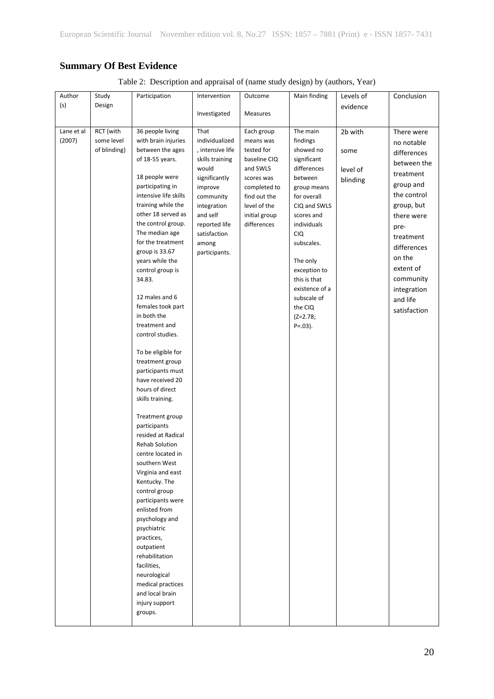# **Summary Of Best Evidence**

|  |  |  | Table 2: Description and appraisal of (name study design) by (authors, Year) |  |  |
|--|--|--|------------------------------------------------------------------------------|--|--|
|--|--|--|------------------------------------------------------------------------------|--|--|

| Author     | Study        | Participation         | Intervention     | Outcome       | Main finding   | Levels of | Conclusion   |
|------------|--------------|-----------------------|------------------|---------------|----------------|-----------|--------------|
| (s)        | Design       |                       |                  |               |                | evidence  |              |
|            |              |                       | Investigated     | Measures      |                |           |              |
|            |              |                       |                  |               |                |           |              |
| Lane et al | RCT (with    | 36 people living      | That             | Each group    | The main       | 2b with   | There were   |
| (2007)     | some level   | with brain injuries   | individualized   | means was     | findings       |           | no notable   |
|            | of blinding) | between the ages      | , intensive life | tested for    | showed no      | some      |              |
|            |              | of 18-55 years.       | skills training  | baseline CIQ  | significant    |           | differences  |
|            |              |                       | would            | and SWLS      | differences    | level of  | between the  |
|            |              | 18 people were        | significantly    | scores was    | between        |           | treatment    |
|            |              | participating in      | improve          | completed to  | group means    | blinding  | group and    |
|            |              | intensive life skills | community        | find out the  | for overall    |           | the control  |
|            |              | training while the    |                  |               |                |           | group, but   |
|            |              | other 18 served as    | integration      | level of the  | CIQ and SWLS   |           |              |
|            |              |                       | and self         | initial group | scores and     |           | there were   |
|            |              | the control group.    | reported life    | differences   | individuals    |           | pre-         |
|            |              | The median age        | satisfaction     |               | <b>CIQ</b>     |           | treatment    |
|            |              | for the treatment     | among            |               | subscales.     |           | differences  |
|            |              | group is 33.67        | participants.    |               |                |           | on the       |
|            |              | years while the       |                  |               | The only       |           | extent of    |
|            |              | control group is      |                  |               | exception to   |           |              |
|            |              | 34.83.                |                  |               | this is that   |           | community    |
|            |              |                       |                  |               | existence of a |           | integration  |
|            |              | 12 males and 6        |                  |               | subscale of    |           | and life     |
|            |              | females took part     |                  |               | the CIQ        |           | satisfaction |
|            |              | in both the           |                  |               | $(Z=2.78;$     |           |              |
|            |              | treatment and         |                  |               | $P = .03$ ).   |           |              |
|            |              | control studies.      |                  |               |                |           |              |
|            |              |                       |                  |               |                |           |              |
|            |              | To be eligible for    |                  |               |                |           |              |
|            |              | treatment group       |                  |               |                |           |              |
|            |              | participants must     |                  |               |                |           |              |
|            |              | have received 20      |                  |               |                |           |              |
|            |              | hours of direct       |                  |               |                |           |              |
|            |              | skills training.      |                  |               |                |           |              |
|            |              |                       |                  |               |                |           |              |
|            |              | Treatment group       |                  |               |                |           |              |
|            |              | participants          |                  |               |                |           |              |
|            |              | resided at Radical    |                  |               |                |           |              |
|            |              | Rehab Solution        |                  |               |                |           |              |
|            |              | centre located in     |                  |               |                |           |              |
|            |              | southern West         |                  |               |                |           |              |
|            |              | Virginia and east     |                  |               |                |           |              |
|            |              | Kentucky. The         |                  |               |                |           |              |
|            |              | control group         |                  |               |                |           |              |
|            |              | participants were     |                  |               |                |           |              |
|            |              | enlisted from         |                  |               |                |           |              |
|            |              | psychology and        |                  |               |                |           |              |
|            |              | psychiatric           |                  |               |                |           |              |
|            |              | practices,            |                  |               |                |           |              |
|            |              | outpatient            |                  |               |                |           |              |
|            |              | rehabilitation        |                  |               |                |           |              |
|            |              | facilities,           |                  |               |                |           |              |
|            |              |                       |                  |               |                |           |              |
|            |              | neurological          |                  |               |                |           |              |
|            |              | medical practices     |                  |               |                |           |              |
|            |              | and local brain       |                  |               |                |           |              |
|            |              | injury support        |                  |               |                |           |              |
|            |              | groups.               |                  |               |                |           |              |
|            |              |                       |                  |               |                |           |              |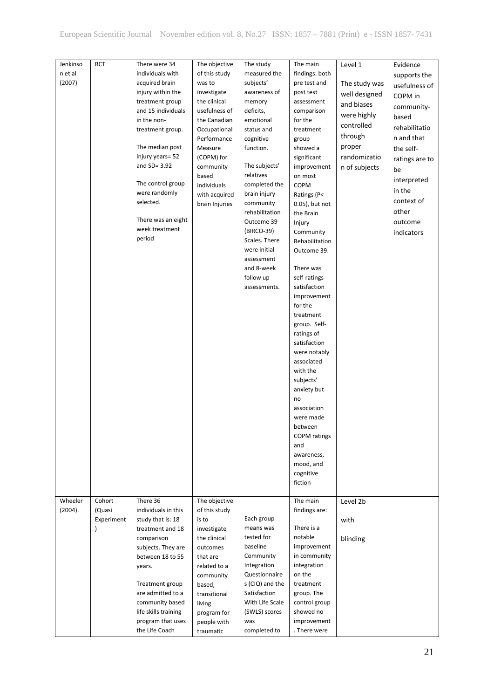| Jenkinso<br>n et al | <b>RCT</b>    | There were 34<br>individuals with | The objective         | The study<br>measured the | The main            | Level 1       | Evidence       |
|---------------------|---------------|-----------------------------------|-----------------------|---------------------------|---------------------|---------------|----------------|
| (2007)              |               | acquired brain                    | of this study         | subjects'                 | findings: both      |               | supports the   |
|                     |               |                                   | was to<br>investigate |                           | pre test and        | The study was | usefulness of  |
|                     |               | injury within the                 |                       | awareness of              | post test           | well designed | COPM in        |
|                     |               | treatment group                   | the clinical          | memory                    | assessment          | and biases    | community-     |
|                     |               | and 15 individuals                | usefulness of         | deficits,                 | comparison          | were highly   | based          |
|                     |               | in the non-                       | the Canadian          | emotional                 | for the             | controlled    | rehabilitatio  |
|                     |               | treatment group.                  | Occupational          | status and                | treatment           | through       |                |
|                     |               |                                   | Performance           | cognitive                 | group               |               | n and that     |
|                     |               | The median post                   | Measure               | function.                 | showed a            | proper        | the self-      |
|                     |               | injury years= 52                  | (COPM) for            |                           | significant         | randomizatio  | ratings are to |
|                     |               | and $SD = 3.92$                   | community-            | The subjects'             | improvement         | n of subjects | be             |
|                     |               | The control group                 | based                 | relatives                 | on most             |               | interpreted    |
|                     |               | were randomly                     | individuals           | completed the             | COPM                |               | in the         |
|                     |               | selected.                         | with acquired         | brain injury              | Ratings (P<         |               | context of     |
|                     |               |                                   | brain Injuries        | community                 | 0.05), but not      |               | other          |
|                     |               | There was an eight                |                       | rehabilitation            | the Brain           |               |                |
|                     |               | week treatment                    |                       | Outcome 39                | Injury              |               | outcome        |
|                     |               | period                            |                       | (BIRCO-39)                | Community           |               | indicators     |
|                     |               |                                   |                       | Scales. There             | Rehabilitation      |               |                |
|                     |               |                                   |                       | were initial              | Outcome 39.         |               |                |
|                     |               |                                   |                       | assessment<br>and 8-week  | There was           |               |                |
|                     |               |                                   |                       |                           |                     |               |                |
|                     |               |                                   |                       | follow up                 | self-ratings        |               |                |
|                     |               |                                   |                       | assessments.              | satisfaction        |               |                |
|                     |               |                                   |                       |                           | improvement         |               |                |
|                     |               |                                   |                       |                           | for the             |               |                |
|                     |               |                                   |                       |                           | treatment           |               |                |
|                     |               |                                   |                       |                           | group. Self-        |               |                |
|                     |               |                                   |                       |                           | ratings of          |               |                |
|                     |               |                                   |                       |                           | satisfaction        |               |                |
|                     |               |                                   |                       |                           | were notably        |               |                |
|                     |               |                                   |                       |                           | associated          |               |                |
|                     |               |                                   |                       |                           | with the            |               |                |
|                     |               |                                   |                       |                           | subjects'           |               |                |
|                     |               |                                   |                       |                           | anxiety but         |               |                |
|                     |               |                                   |                       |                           | no                  |               |                |
|                     |               |                                   |                       |                           | association         |               |                |
|                     |               |                                   |                       |                           | were made           |               |                |
|                     |               |                                   |                       |                           | between             |               |                |
|                     |               |                                   |                       |                           | <b>COPM</b> ratings |               |                |
|                     |               |                                   |                       |                           | and                 |               |                |
|                     |               |                                   |                       |                           | awareness,          |               |                |
|                     |               |                                   |                       |                           | mood, and           |               |                |
|                     |               |                                   |                       |                           | cognitive           |               |                |
|                     |               |                                   |                       |                           | fiction             |               |                |
| Wheeler             | Cohort        | There 36                          | The objective         |                           | The main            |               |                |
| (2004).             | (Quasi        | individuals in this               | of this study         |                           |                     | Level 2b      |                |
|                     | Experiment    | study that is: 18                 |                       | Each group                | findings are:       |               |                |
|                     |               | treatment and 18                  | is to<br>investigate  | means was                 | There is a          | with          |                |
|                     | $\mathcal{E}$ |                                   | the clinical          | tested for                | notable             |               |                |
|                     |               | comparison<br>subjects. They are  | outcomes              | baseline                  | improvement         | blinding      |                |
|                     |               | between 18 to 55                  | that are              | Community                 | in community        |               |                |
|                     |               |                                   | related to a          | Integration               | integration         |               |                |
|                     |               | years.                            | community             | Questionnaire             | on the              |               |                |
|                     |               | Treatment group                   |                       | s (CIQ) and the           | treatment           |               |                |
|                     |               | are admitted to a                 | based,                | Satisfaction              | group. The          |               |                |
|                     |               | community based                   | transitional          | With Life Scale           | control group       |               |                |
|                     |               | life skills training              | living                | (SWLS) scores             | showed no           |               |                |
|                     |               | program that uses                 | program for           | was                       | improvement         |               |                |
|                     |               | the Life Coach                    | people with           | completed to              | . There were        |               |                |
|                     |               |                                   | traumatic             |                           |                     |               |                |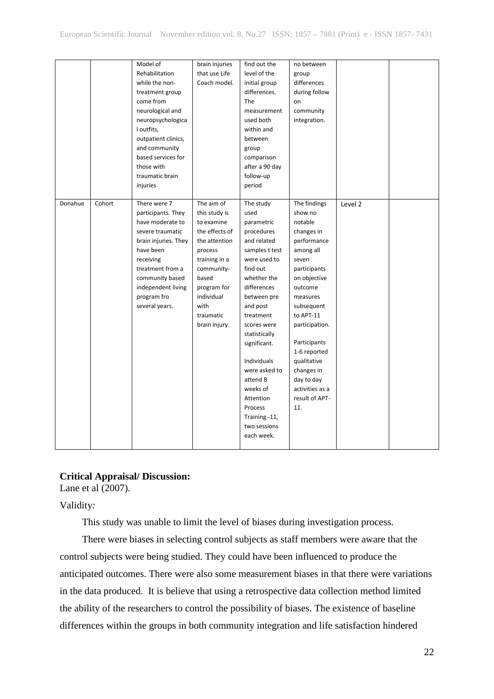|         |        | Model of             | brain injuries | find out the   | no between      |         |  |
|---------|--------|----------------------|----------------|----------------|-----------------|---------|--|
|         |        | Rehabilitation       | that use Life  | level of the   | group           |         |  |
|         |        | while the non-       | Coach model.   | initial group  | differences     |         |  |
|         |        |                      |                | differences.   | during follow   |         |  |
|         |        | treatment group      |                |                |                 |         |  |
|         |        | come from            |                | The            | on              |         |  |
|         |        | neurological and     |                | measurement    | community       |         |  |
|         |        | neuropsychologica    |                | used both      | integration.    |         |  |
|         |        | I outfits,           |                | within and     |                 |         |  |
|         |        | outpatient clinics,  |                | between        |                 |         |  |
|         |        | and community        |                | group          |                 |         |  |
|         |        | based services for   |                | comparison     |                 |         |  |
|         |        | those with           |                | after a 90 day |                 |         |  |
|         |        | traumatic brain      |                | follow-up      |                 |         |  |
|         |        | injuries             |                | period         |                 |         |  |
|         |        |                      |                |                |                 |         |  |
| Donahue | Cohort | There were 7         | The aim of     | The study      | The findings    | Level 2 |  |
|         |        | participants. They   | this study is  | used           | show no         |         |  |
|         |        | have moderate to     | to examine     | parametric     | notable         |         |  |
|         |        | severe traumatic     | the effects of | procedures     | changes in      |         |  |
|         |        | brain injuries. They | the attention  | and related    | performance     |         |  |
|         |        | have been            | process        | samples t test | among all       |         |  |
|         |        | receiving            | training in a  | were used to   | seven           |         |  |
|         |        | treatment from a     | community-     | find out       | participants    |         |  |
|         |        | community based      | based          | whether the    | on objective    |         |  |
|         |        | independent living   | program for    | differences    | outcome         |         |  |
|         |        | program fro          | individual     | between pre    | measures        |         |  |
|         |        | several years.       | with           | and post       | subsequent      |         |  |
|         |        |                      | traumatic      | treatment      | to APT-11       |         |  |
|         |        |                      | brain injury.  | scores were    | participation.  |         |  |
|         |        |                      |                | statistically  |                 |         |  |
|         |        |                      |                | significant.   | Participants    |         |  |
|         |        |                      |                |                | 1-6 reported    |         |  |
|         |        |                      |                | Individuals    | qualitative     |         |  |
|         |        |                      |                | were asked to  | changes in      |         |  |
|         |        |                      |                | attend 8       | day to day      |         |  |
|         |        |                      |                | weeks of       | activities as a |         |  |
|         |        |                      |                | Attention      | result of APT-  |         |  |
|         |        |                      |                | Process        | 11.             |         |  |
|         |        |                      |                |                |                 |         |  |
|         |        |                      |                | Training -11,  |                 |         |  |
|         |        |                      |                | two sessions   |                 |         |  |
|         |        |                      |                | each week.     |                 |         |  |
|         |        |                      |                |                |                 |         |  |

# **Critical Appraisal/ Discussion:**

Lane et al (2007).

Validity*:*

This study was unable to limit the level of biases during investigation process.

There were biases in selecting control subjects as staff members were aware that the control subjects were being studied. They could have been influenced to produce the anticipated outcomes. There were also some measurement biases in that there were variations in the data produced. It is believe that using a retrospective data collection method limited the ability of the researchers to control the possibility of biases. The existence of baseline differences within the groups in both community integration and life satisfaction hindered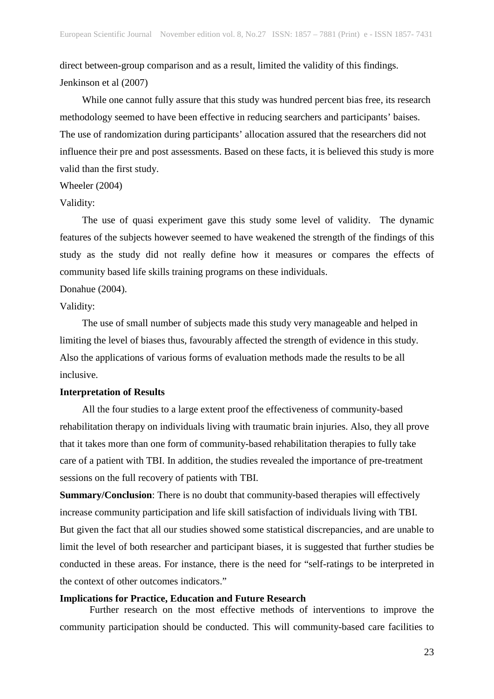direct between-group comparison and as a result, limited the validity of this findings. Jenkinson et al (2007)

While one cannot fully assure that this study was hundred percent bias free, its research methodology seemed to have been effective in reducing searchers and participants' baises. The use of randomization during participants' allocation assured that the researchers did not influence their pre and post assessments. Based on these facts, it is believed this study is more valid than the first study.

### Wheeler (2004)

#### Validity:

The use of quasi experiment gave this study some level of validity. The dynamic features of the subjects however seemed to have weakened the strength of the findings of this study as the study did not really define how it measures or compares the effects of community based life skills training programs on these individuals.

#### Donahue (2004).

# Validity:

The use of small number of subjects made this study very manageable and helped in limiting the level of biases thus, favourably affected the strength of evidence in this study. Also the applications of various forms of evaluation methods made the results to be all inclusive.

#### **Interpretation of Results**

All the four studies to a large extent proof the effectiveness of community-based rehabilitation therapy on individuals living with traumatic brain injuries. Also, they all prove that it takes more than one form of community-based rehabilitation therapies to fully take care of a patient with TBI. In addition, the studies revealed the importance of pre-treatment sessions on the full recovery of patients with TBI.

**Summary/Conclusion:** There is no doubt that community-based therapies will effectively increase community participation and life skill satisfaction of individuals living with TBI. But given the fact that all our studies showed some statistical discrepancies, and are unable to limit the level of both researcher and participant biases, it is suggested that further studies be conducted in these areas. For instance, there is the need for "self-ratings to be interpreted in the context of other outcomes indicators."

#### **Implications for Practice, Education and Future Research**

Further research on the most effective methods of interventions to improve the community participation should be conducted. This will community-based care facilities to